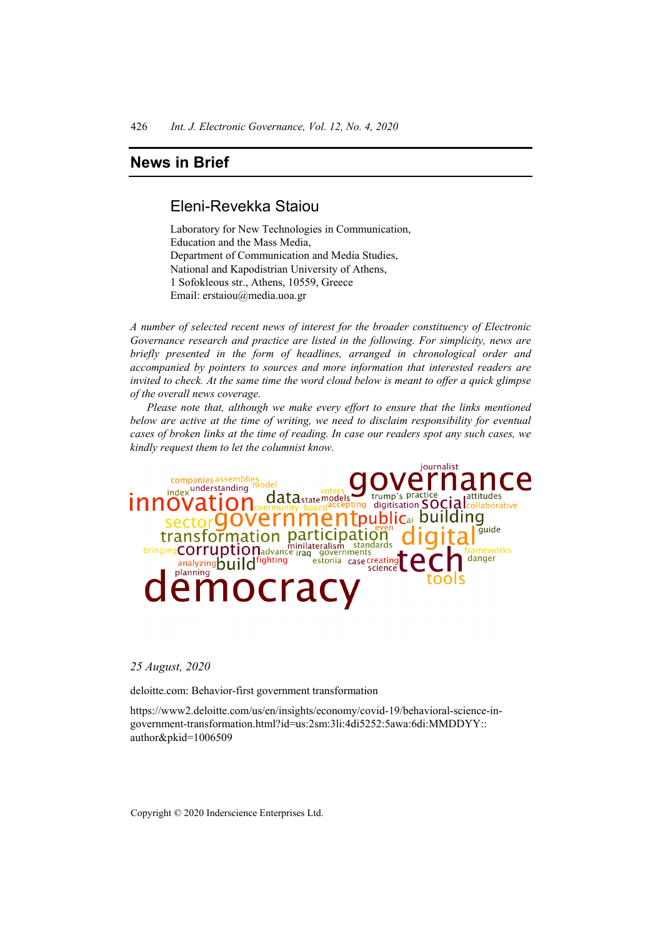## Eleni-Revekka Staiou

Laboratory for New Technologies in Communication, Education and the Mass Media, Department of Communication and Media Studies, National and Kapodistrian University of Athens, 1 Sofokleous str., Athens, 10559, Greece Email: erstaiou@media.uoa.gr

*A number of selected recent news of interest for the broader constituency of Electronic Governance research and practice are listed in the following. For simplicity, news are briefly presented in the form of headlines, arranged in chronological order and accompanied by pointers to sources and more information that interested readers are invited to check. At the same time the word cloud below is meant to offer a quick glimpse of the overall news coverage.* 

*Please note that, although we make every effort to ensure that the links mentioned below are active at the time of writing, we need to disclaim responsibility for eventual cases of broken links at the time of reading. In case our readers spot any such cases, we kindly request them to let the columnist know.* 



#### *25 August, 2020*

deloitte.com: Behavior-first government transformation

https://www2.deloitte.com/us/en/insights/economy/covid-19/behavioral-science-ingovernment-transformation.html?id=us:2sm:3li:4di5252:5awa:6di:MMDDYY:: author&pkid=1006509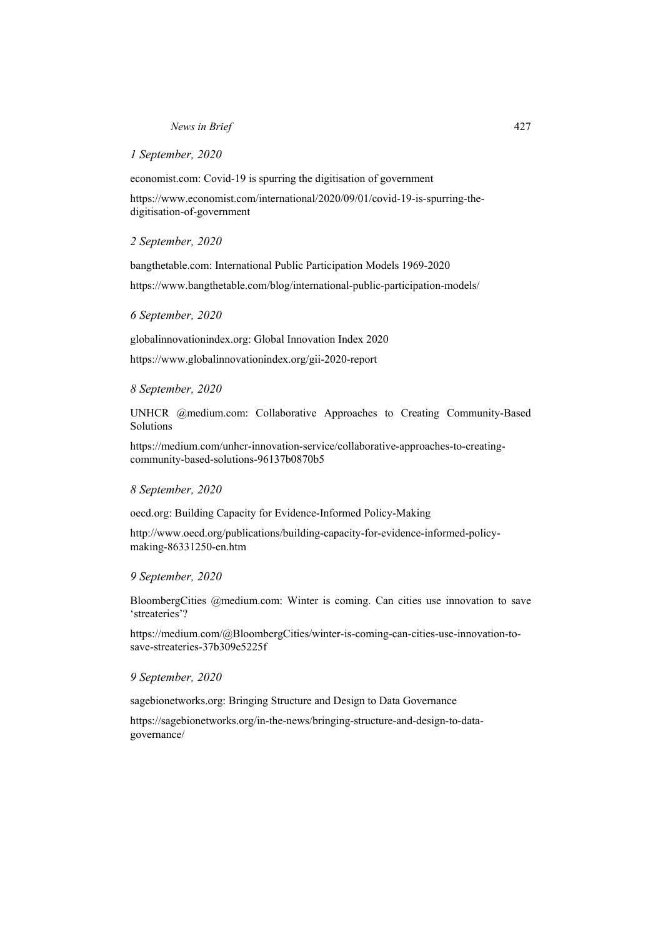#### *1 September, 2020*

economist.com: Covid-19 is spurring the digitisation of government

https://www.economist.com/international/2020/09/01/covid-19-is-spurring-thedigitisation-of-government

#### *2 September, 2020*

bangthetable.com: International Public Participation Models 1969-2020 https://www.bangthetable.com/blog/international-public-participation-models/

#### *6 September, 2020*

globalinnovationindex.org: Global Innovation Index 2020

https://www.globalinnovationindex.org/gii-2020-report

#### *8 September, 2020*

UNHCR @medium.com: Collaborative Approaches to Creating Community-Based Solutions

https://medium.com/unhcr-innovation-service/collaborative-approaches-to-creatingcommunity-based-solutions-96137b0870b5

#### *8 September, 2020*

oecd.org: Building Capacity for Evidence-Informed Policy-Making

http://www.oecd.org/publications/building-capacity-for-evidence-informed-policymaking-86331250-en.htm

#### *9 September, 2020*

BloombergCities @medium.com: Winter is coming. Can cities use innovation to save 'streateries'?

https://medium.com/@BloombergCities/winter-is-coming-can-cities-use-innovation-tosave-streateries-37b309e5225f

#### *9 September, 2020*

sagebionetworks.org: Bringing Structure and Design to Data Governance

https://sagebionetworks.org/in-the-news/bringing-structure-and-design-to-datagovernance/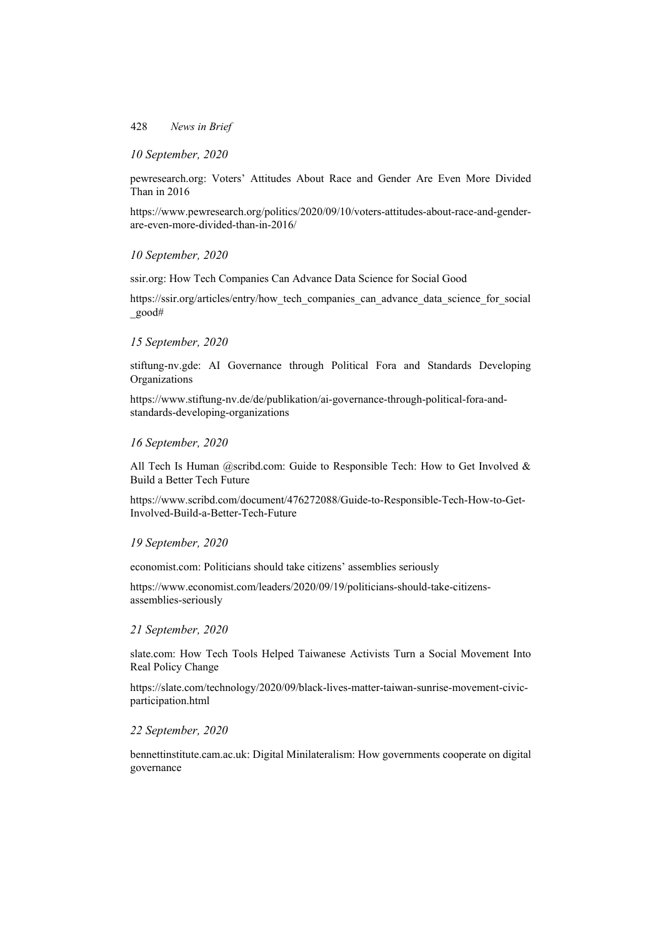## *10 September, 2020*

pewresearch.org: Voters' Attitudes About Race and Gender Are Even More Divided Than in 2016

https://www.pewresearch.org/politics/2020/09/10/voters-attitudes-about-race-and-genderare-even-more-divided-than-in-2016/

*10 September, 2020* 

ssir.org: How Tech Companies Can Advance Data Science for Social Good

https://ssir.org/articles/entry/how tech companies can advance data science for social \_good#

### *15 September, 2020*

stiftung-nv.gde: AI Governance through Political Fora and Standards Developing **Organizations** 

https://www.stiftung-nv.de/de/publikation/ai-governance-through-political-fora-andstandards-developing-organizations

### *16 September, 2020*

All Tech Is Human @scribd.com: Guide to Responsible Tech: How to Get Involved  $\&$ Build a Better Tech Future

https://www.scribd.com/document/476272088/Guide-to-Responsible-Tech-How-to-Get-Involved-Build-a-Better-Tech-Future

## *19 September, 2020*

economist.com: Politicians should take citizens' assemblies seriously

https://www.economist.com/leaders/2020/09/19/politicians-should-take-citizensassemblies-seriously

### *21 September, 2020*

slate.com: How Tech Tools Helped Taiwanese Activists Turn a Social Movement Into Real Policy Change

https://slate.com/technology/2020/09/black-lives-matter-taiwan-sunrise-movement-civicparticipation.html

### *22 September, 2020*

bennettinstitute.cam.ac.uk: Digital Minilateralism: How governments cooperate on digital governance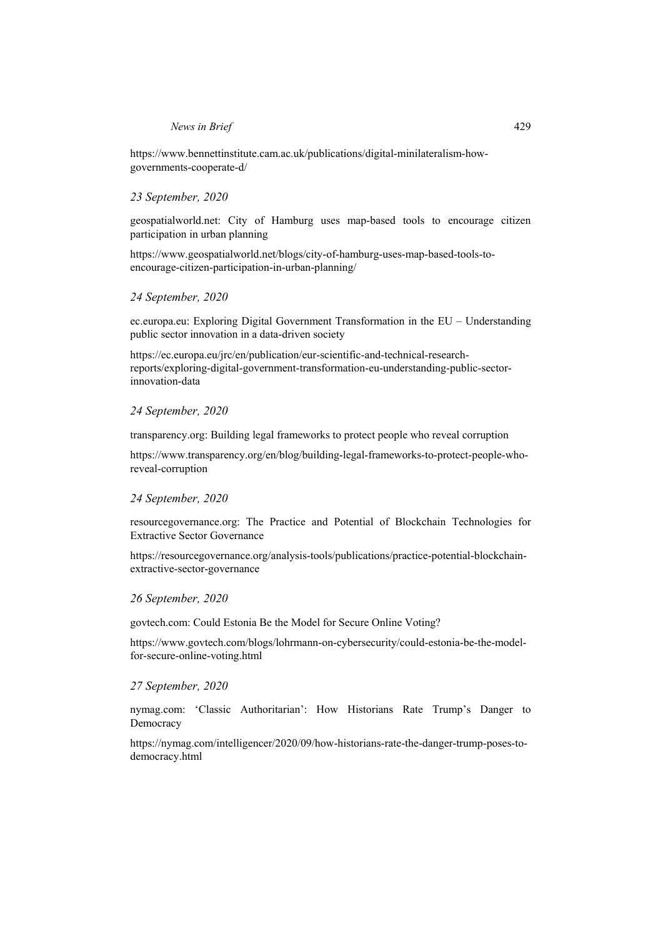https://www.bennettinstitute.cam.ac.uk/publications/digital-minilateralism-howgovernments-cooperate-d/

## *23 September, 2020*

geospatialworld.net: City of Hamburg uses map-based tools to encourage citizen participation in urban planning

https://www.geospatialworld.net/blogs/city-of-hamburg-uses-map-based-tools-toencourage-citizen-participation-in-urban-planning/

## *24 September, 2020*

ec.europa.eu: Exploring Digital Government Transformation in the EU – Understanding public sector innovation in a data-driven society

https://ec.europa.eu/jrc/en/publication/eur-scientific-and-technical-researchreports/exploring-digital-government-transformation-eu-understanding-public-sectorinnovation-data

### *24 September, 2020*

transparency.org: Building legal frameworks to protect people who reveal corruption

https://www.transparency.org/en/blog/building-legal-frameworks-to-protect-people-whoreveal-corruption

### *24 September, 2020*

resourcegovernance.org: The Practice and Potential of Blockchain Technologies for Extractive Sector Governance

https://resourcegovernance.org/analysis-tools/publications/practice-potential-blockchainextractive-sector-governance

### *26 September, 2020*

govtech.com: Could Estonia Be the Model for Secure Online Voting?

https://www.govtech.com/blogs/lohrmann-on-cybersecurity/could-estonia-be-the-modelfor-secure-online-voting.html

### *27 September, 2020*

nymag.com: 'Classic Authoritarian': How Historians Rate Trump's Danger to Democracy

https://nymag.com/intelligencer/2020/09/how-historians-rate-the-danger-trump-poses-todemocracy.html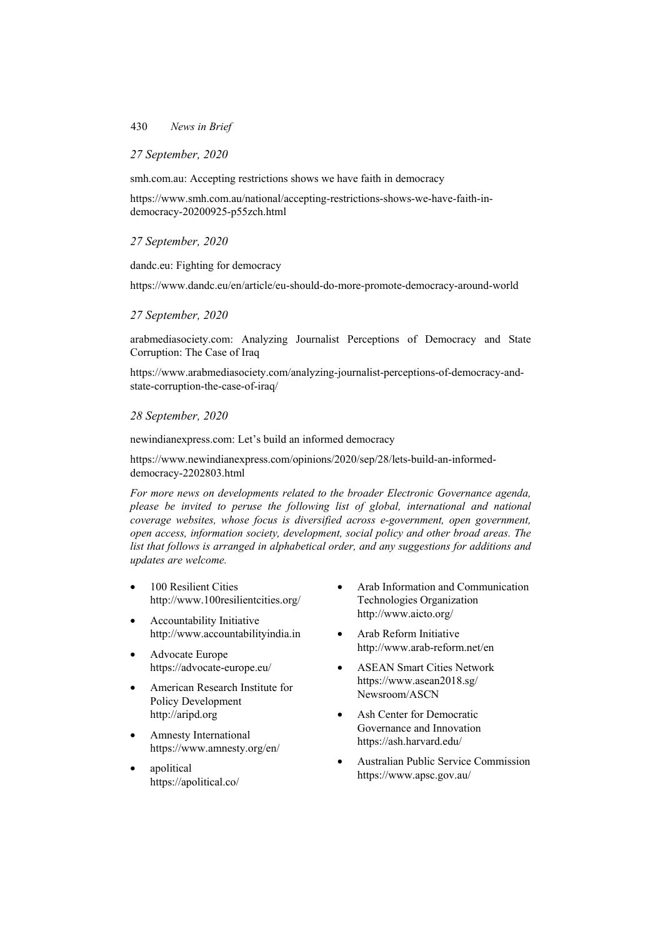## *27 September, 2020*

smh.com.au: Accepting restrictions shows we have faith in democracy

https://www.smh.com.au/national/accepting-restrictions-shows-we-have-faith-indemocracy-20200925-p55zch.html

## *27 September, 2020*

dandc.eu: Fighting for democracy

https://www.dandc.eu/en/article/eu-should-do-more-promote-democracy-around-world

## *27 September, 2020*

arabmediasociety.com: Analyzing Journalist Perceptions of Democracy and State Corruption: The Case of Iraq

https://www.arabmediasociety.com/analyzing-journalist-perceptions-of-democracy-andstate-corruption-the-case-of-iraq/

## *28 September, 2020*

newindianexpress.com: Let's build an informed democracy

https://www.newindianexpress.com/opinions/2020/sep/28/lets-build-an-informeddemocracy-2202803.html

*For more news on developments related to the broader Electronic Governance agenda, please be invited to peruse the following list of global, international and national coverage websites, whose focus is diversified across e-government, open government, open access, information society, development, social policy and other broad areas. The list that follows is arranged in alphabetical order, and any suggestions for additions and updates are welcome.*

- 100 Resilient Cities http://www.100resilientcities.org/
- Accountability Initiative http://www.accountabilityindia.in
- Advocate Europe https://advocate-europe.eu/
- American Research Institute for Policy Development http://aripd.org
- Amnesty International https://www.amnesty.org/en/
- apolitical https://apolitical.co/
- Arab Information and Communication Technologies Organization http://www.aicto.org/
- Arab Reform Initiative http://www.arab-reform.net/en
- ASEAN Smart Cities Network https://www.asean2018.sg/ Newsroom/ASCN
- Ash Center for Democratic Governance and Innovation https://ash.harvard.edu/
- Australian Public Service Commission https://www.apsc.gov.au/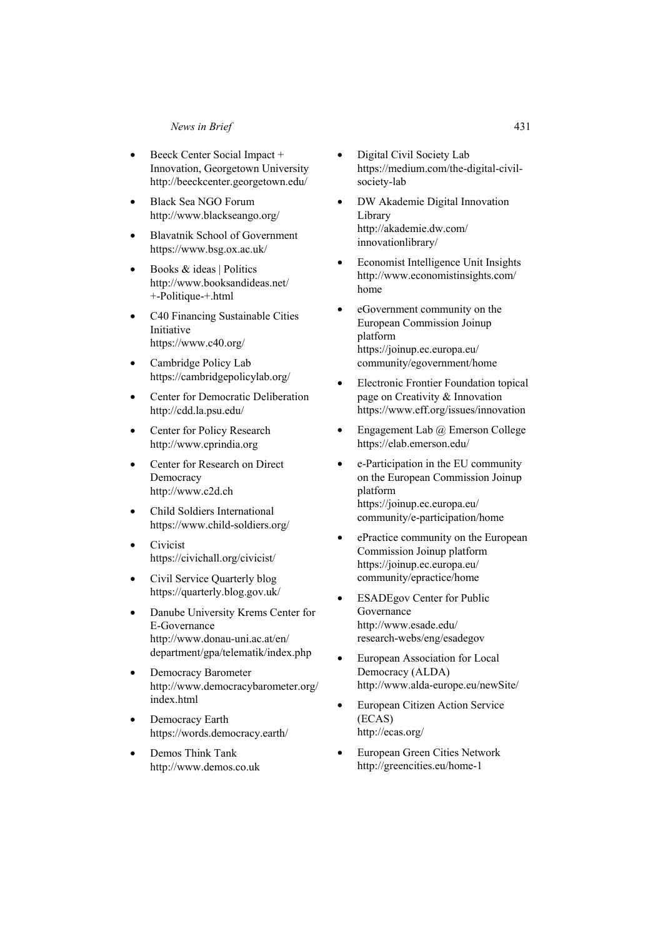- Beeck Center Social Impact + Innovation, Georgetown University http://beeckcenter.georgetown.edu/
- Black Sea NGO Forum http://www.blackseango.org/
- Blavatnik School of Government https://www.bsg.ox.ac.uk/
- Books & ideas | Politics http://www.booksandideas.net/ +-Politique-+.html
- C40 Financing Sustainable Cities Initiative https://www.c40.org/
- Cambridge Policy Lab https://cambridgepolicylab.org/
- Center for Democratic Deliberation http://cdd.la.psu.edu/
- Center for Policy Research http://www.cprindia.org
- Center for Research on Direct Democracy http://www.c2d.ch
- Child Soldiers International https://www.child-soldiers.org/
- Civicist https://civichall.org/civicist/
- Civil Service Quarterly blog https://quarterly.blog.gov.uk/
- Danube University Krems Center for E-Governance http://www.donau-uni.ac.at/en/ department/gpa/telematik/index.php
- Democracy Barometer http://www.democracybarometer.org/ index.html
- Democracy Earth https://words.democracy.earth/
- Demos Think Tank http://www.demos.co.uk
- Digital Civil Society Lab https://medium.com/the-digital-civilsociety-lab
- DW Akademie Digital Innovation Library http://akademie.dw.com/ innovationlibrary/
- Economist Intelligence Unit Insights http://www.economistinsights.com/ home
- eGovernment community on the European Commission Joinup platform https://joinup.ec.europa.eu/ community/egovernment/home
- Electronic Frontier Foundation topical page on Creativity & Innovation https://www.eff.org/issues/innovation
- Engagement Lab  $\omega$  Emerson College https://elab.emerson.edu/
- e-Participation in the EU community on the European Commission Joinup platform https://joinup.ec.europa.eu/ community/e-participation/home
- ePractice community on the European Commission Joinup platform https://joinup.ec.europa.eu/ community/epractice/home
- ESADEgov Center for Public Governance http://www.esade.edu/ research-webs/eng/esadegov
- European Association for Local Democracy (ALDA) http://www.alda-europe.eu/newSite/
- European Citizen Action Service (ECAS) http://ecas.org/
- European Green Cities Network http://greencities.eu/home-1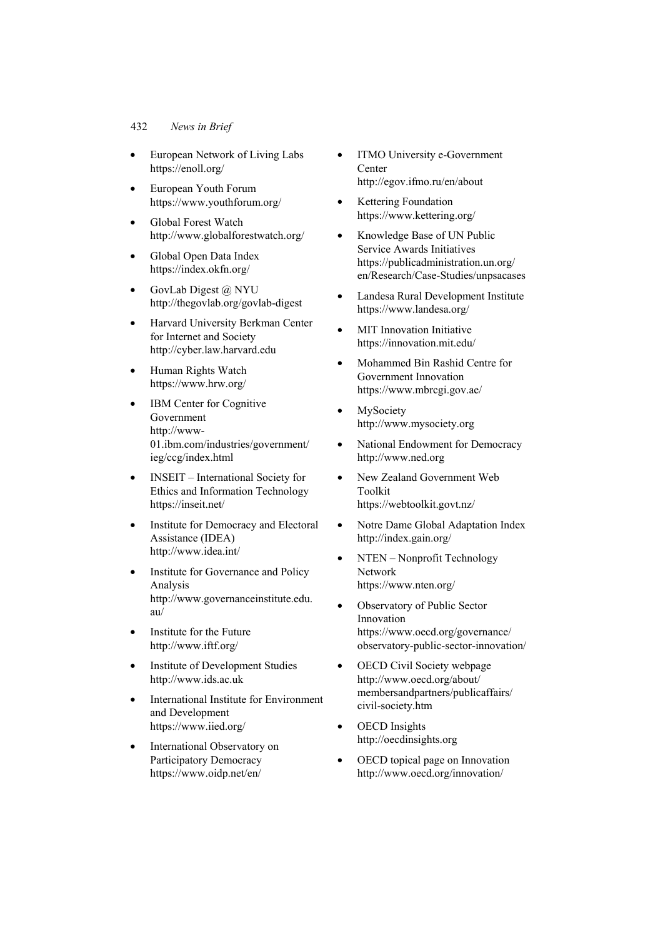- European Network of Living Labs https://enoll.org/
- European Youth Forum https://www.youthforum.org/
- Global Forest Watch http://www.globalforestwatch.org/
- Global Open Data Index https://index.okfn.org/
- GovLab Digest @ NYU http://thegovlab.org/govlab-digest
- Harvard University Berkman Center for Internet and Society http://cyber.law.harvard.edu
- Human Rights Watch https://www.hrw.org/
- IBM Center for Cognitive Government http://www-01.ibm.com/industries/government/ ieg/ccg/index.html
- **INSEIT** International Society for Ethics and Information Technology https://inseit.net/
- Institute for Democracy and Electoral Assistance (IDEA) http://www.idea.int/
- Institute for Governance and Policy Analysis http://www.governanceinstitute.edu. au/
- Institute for the Future http://www.iftf.org/
- Institute of Development Studies http://www.ids.ac.uk
- International Institute for Environment and Development https://www.iied.org/
- International Observatory on Participatory Democracy https://www.oidp.net/en/
- ITMO University e-Government Center http://egov.ifmo.ru/en/about
- Kettering Foundation https://www.kettering.org/
- Knowledge Base of UN Public Service Awards Initiatives https://publicadministration.un.org/ en/Research/Case-Studies/unpsacases
- Landesa Rural Development Institute https://www.landesa.org/
- MIT Innovation Initiative https://innovation.mit.edu/
- Mohammed Bin Rashid Centre for Government Innovation https://www.mbrcgi.gov.ae/
- MySociety http://www.mysociety.org
- National Endowment for Democracy http://www.ned.org
- New Zealand Government Web Toolkit https://webtoolkit.govt.nz/
- Notre Dame Global Adaptation Index http://index.gain.org/
- NTEN Nonprofit Technology Network https://www.nten.org/
- Observatory of Public Sector Innovation https://www.oecd.org/governance/ observatory-public-sector-innovation/
- OECD Civil Society webpage http://www.oecd.org/about/ membersandpartners/publicaffairs/ civil-society.htm
- OECD Insights http://oecdinsights.org
- OECD topical page on Innovation http://www.oecd.org/innovation/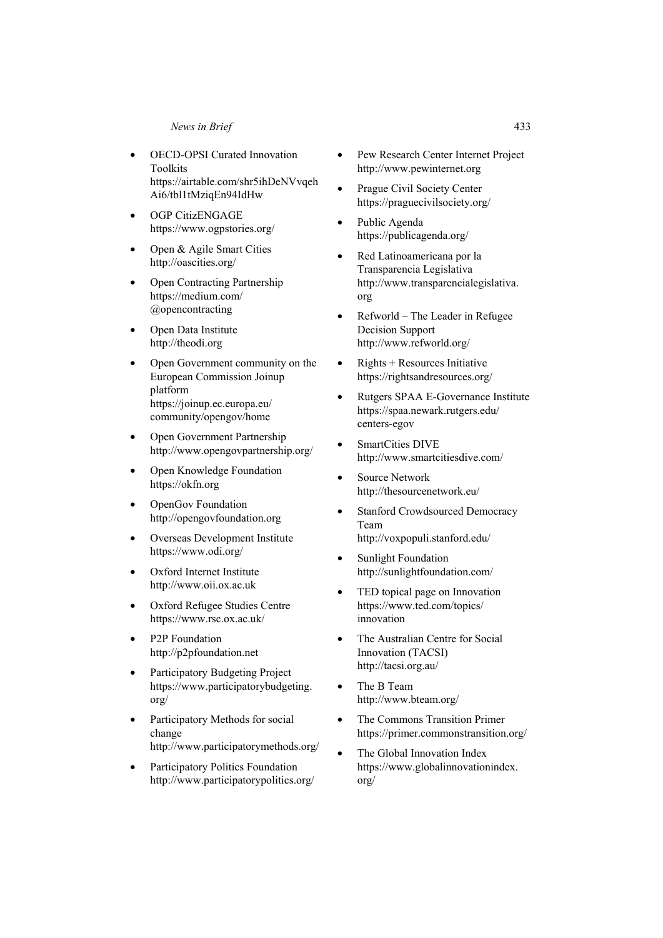- **OECD-OPSI Curated Innovation** Toolkits https://airtable.com/shr5ihDeNVvqeh Ai6/tbl1tMziqEn94IdHw
- OGP CitizENGAGE https://www.ogpstories.org/
- Open & Agile Smart Cities http://oascities.org/
- Open Contracting Partnership https://medium.com/ @opencontracting
- Open Data Institute http://theodi.org
- Open Government community on the European Commission Joinup platform https://joinup.ec.europa.eu/ community/opengov/home
- Open Government Partnership http://www.opengovpartnership.org/
- Open Knowledge Foundation https://okfn.org
- OpenGov Foundation http://opengovfoundation.org
- Overseas Development Institute https://www.odi.org/
- Oxford Internet Institute http://www.oii.ox.ac.uk
- Oxford Refugee Studies Centre https://www.rsc.ox.ac.uk/
- P<sub>2</sub>P Foundation http://p2pfoundation.net
- Participatory Budgeting Project https://www.participatorybudgeting. org/
- Participatory Methods for social change http://www.participatorymethods.org/
- Participatory Politics Foundation http://www.participatorypolitics.org/
- Pew Research Center Internet Project http://www.pewinternet.org
- Prague Civil Society Center https://praguecivilsociety.org/
- Public Agenda https://publicagenda.org/
- Red Latinoamericana por la Transparencia Legislativa http://www.transparencialegislativa. org
- Refworld The Leader in Refugee Decision Support http://www.refworld.org/
- Rights  $+$  Resources Initiative https://rightsandresources.org/
- Rutgers SPAA E-Governance Institute https://spaa.newark.rutgers.edu/ centers-egov
- SmartCities DIVE http://www.smartcitiesdive.com/
- Source Network http://thesourcenetwork.eu/
- Stanford Crowdsourced Democracy Team http://voxpopuli.stanford.edu/
- Sunlight Foundation http://sunlightfoundation.com/
- TED topical page on Innovation https://www.ted.com/topics/ innovation
- The Australian Centre for Social Innovation (TACSI) http://tacsi.org.au/
- The B Team http://www.bteam.org/
- The Commons Transition Primer https://primer.commonstransition.org/
- The Global Innovation Index https://www.globalinnovationindex. org/